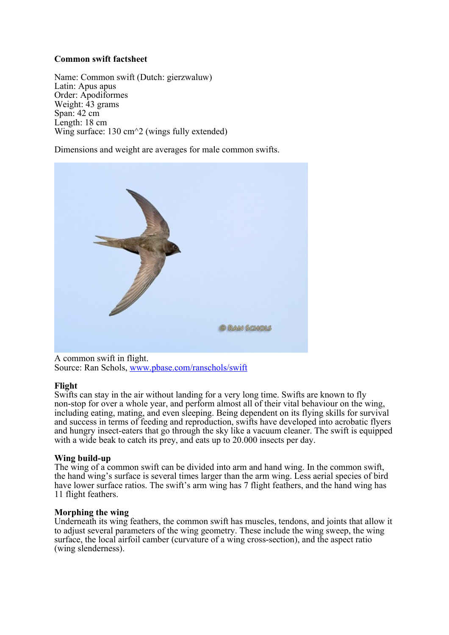## **Common swift factsheet**

Name: Common swift (Dutch: gierzwaluw) Latin: Apus apus Order: Apodiformes Weight: 43 grams Span: 42 cm Length: 18 cm Wing surface: 130 cm<sup> $\sim$ </sup> 2 (wings fully extended)

Dimensions and weight are averages for male common swifts.



[A common swift in flight.](http://www.pbase.com/ranschols/swift) Source: Ran Schols, [www.pbase.com/ranschols/swift](http://www.pbase.com/ranschols/swift)

## **Flight**

Swifts can stay in the air without landing for a very long time. Swifts are known to fly non-stop for over a whole year, and perform almost all of their vital behaviour on the wing, including eating, mating, and even sleeping. Being dependent on its flying skills for survival and success in terms of feeding and reproduction, swifts have developed into acrobatic flyers and hungry insect-eaters that go through the sky like a vacuum cleaner. The swift is equipped with a wide beak to catch its prey, and eats up to 20,000 insects per day.

## **Wing build-up**

The wing of a common swift can be divided into arm and hand wing. In the common swift, the hand wing's surface is several times larger than the arm wing. Less aerial species of bird have lower surface ratios. The swift's arm wing has 7 flight feathers, and the hand wing has 11 flight feathers.

## **Morphing the wing**

Underneath its wing feathers, the common swift has muscles, tendons, and joints that allow it to adjust several parameters of the wing geometry. These include the wing sweep, the wing surface, the local airfoil camber (curvature of a wing cross-section), and the aspect ratio (wing slenderness).